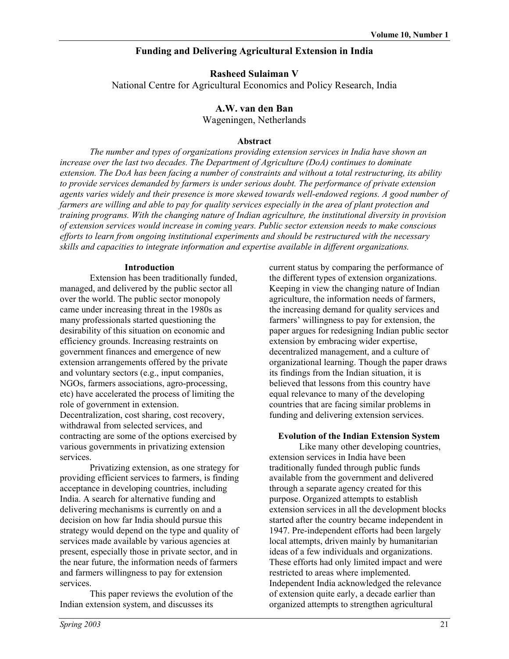# **Funding and Delivering Agricultural Extension in India**

**Rasheed Sulaiman V**

National Centre for Agricultural Economics and Policy Research, India

#### **A.W. van den Ban** Wageningen, Netherlands

## **Abstract**

*The number and types of organizations providing extension services in India have shown an increase over the last two decades. The Department of Agriculture (DoA) continues to dominate extension. The DoA has been facing a number of constraints and without a total restructuring, its ability to provide services demanded by farmers is under serious doubt. The performance of private extension agents varies widely and their presence is more skewed towards well-endowed regions. A good number of farmers are willing and able to pay for quality services especially in the area of plant protection and training programs. With the changing nature of Indian agriculture, the institutional diversity in provision of extension services would increase in coming years. Public sector extension needs to make conscious efforts to learn from ongoing institutional experiments and should be restructured with the necessary skills and capacities to integrate information and expertise available in different organizations.* 

## **Introduction**

Extension has been traditionally funded, managed, and delivered by the public sector all over the world. The public sector monopoly came under increasing threat in the 1980s as many professionals started questioning the desirability of this situation on economic and efficiency grounds. Increasing restraints on government finances and emergence of new extension arrangements offered by the private and voluntary sectors (e.g., input companies, NGOs, farmers associations, agro-processing, etc) have accelerated the process of limiting the role of government in extension. Decentralization, cost sharing, cost recovery, withdrawal from selected services, and contracting are some of the options exercised by various governments in privatizing extension services.

Privatizing extension, as one strategy for providing efficient services to farmers, is finding acceptance in developing countries, including India. A search for alternative funding and delivering mechanisms is currently on and a decision on how far India should pursue this strategy would depend on the type and quality of services made available by various agencies at present, especially those in private sector, and in the near future, the information needs of farmers and farmers willingness to pay for extension services.

This paper reviews the evolution of the Indian extension system, and discusses its

current status by comparing the performance of the different types of extension organizations. Keeping in view the changing nature of Indian agriculture, the information needs of farmers, the increasing demand for quality services and farmers' willingness to pay for extension, the paper argues for redesigning Indian public sector extension by embracing wider expertise, decentralized management, and a culture of organizational learning. Though the paper draws its findings from the Indian situation, it is believed that lessons from this country have equal relevance to many of the developing countries that are facing similar problems in funding and delivering extension services.

## **Evolution of the Indian Extension System**

Like many other developing countries, extension services in India have been traditionally funded through public funds available from the government and delivered through a separate agency created for this purpose. Organized attempts to establish extension services in all the development blocks started after the country became independent in 1947. Pre-independent efforts had been largely local attempts, driven mainly by humanitarian ideas of a few individuals and organizations. These efforts had only limited impact and were restricted to areas where implemented. Independent India acknowledged the relevance of extension quite early, a decade earlier than organized attempts to strengthen agricultural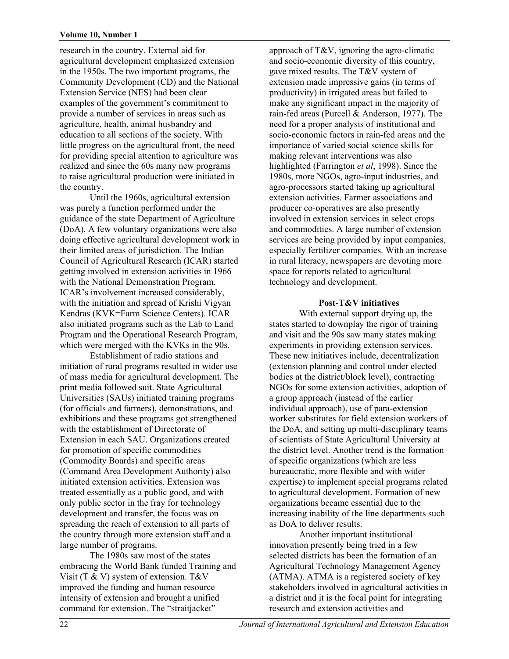#### **Volume 10, Number 1**

research in the country. External aid for agricultural development emphasized extension in the 1950s. The two important programs, the Community Development (CD) and the National Extension Service (NES) had been clear examples of the government's commitment to provide a number of services in areas such as agriculture, health, animal husbandry and education to all sections of the society. With little progress on the agricultural front, the need for providing special attention to agriculture was realized and since the 60s many new programs to raise agricultural production were initiated in the country.

Until the 1960s, agricultural extension was purely a function performed under the guidance of the state Department of Agriculture (DoA). A few voluntary organizations were also doing effective agricultural development work in their limited areas of jurisdiction. The Indian Council of Agricultural Research (ICAR) started getting involved in extension activities in 1966 with the National Demonstration Program. ICAR's involvement increased considerably, with the initiation and spread of Krishi Vigyan Kendras (KVK=Farm Science Centers). ICAR also initiated programs such as the Lab to Land Program and the Operational Research Program, which were merged with the KVKs in the 90s.

Establishment of radio stations and initiation of rural programs resulted in wider use of mass media for agricultural development. The print media followed suit. State Agricultural Universities (SAUs) initiated training programs (for officials and farmers), demonstrations, and exhibitions and these programs got strengthened with the establishment of Directorate of Extension in each SAU. Organizations created for promotion of specific commodities (Commodity Boards) and specific areas (Command Area Development Authority) also initiated extension activities. Extension was treated essentially as a public good, and with only public sector in the fray for technology development and transfer, the focus was on spreading the reach of extension to all parts of the country through more extension staff and a large number of programs.

The 1980s saw most of the states embracing the World Bank funded Training and Visit (T & V) system of extension. T&V improved the funding and human resource intensity of extension and brought a unified command for extension. The "straitjacket"

approach of T&V, ignoring the agro-climatic and socio-economic diversity of this country, gave mixed results. The T&V system of extension made impressive gains (in terms of productivity) in irrigated areas but failed to make any significant impact in the majority of rain-fed areas (Purcell & Anderson, 1977). The need for a proper analysis of institutional and socio-economic factors in rain-fed areas and the importance of varied social science skills for making relevant interventions was also highlighted (Farrington *et al*, 1998). Since the 1980s, more NGOs, agro-input industries, and agro-processors started taking up agricultural extension activities. Farmer associations and producer co-operatives are also presently involved in extension services in select crops and commodities. A large number of extension services are being provided by input companies, especially fertilizer companies. With an increase in rural literacy, newspapers are devoting more space for reports related to agricultural technology and development.

#### **Post-T&V initiatives**

With external support drying up, the states started to downplay the rigor of training and visit and the 90s saw many states making experiments in providing extension services. These new initiatives include, decentralization (extension planning and control under elected bodies at the district/block level), contracting NGOs for some extension activities, adoption of a group approach (instead of the earlier individual approach), use of para-extension worker substitutes for field extension workers of the DoA, and setting up multi-disciplinary teams of scientists of State Agricultural University at the district level. Another trend is the formation of specific organizations (which are less bureaucratic, more flexible and with wider expertise) to implement special programs related to agricultural development. Formation of new organizations became essential due to the increasing inability of the line departments such as DoA to deliver results.

Another important institutional innovation presently being tried in a few selected districts has been the formation of an Agricultural Technology Management Agency (ATMA). ATMA is a registered society of key stakeholders involved in agricultural activities in a district and it is the focal point for integrating research and extension activities and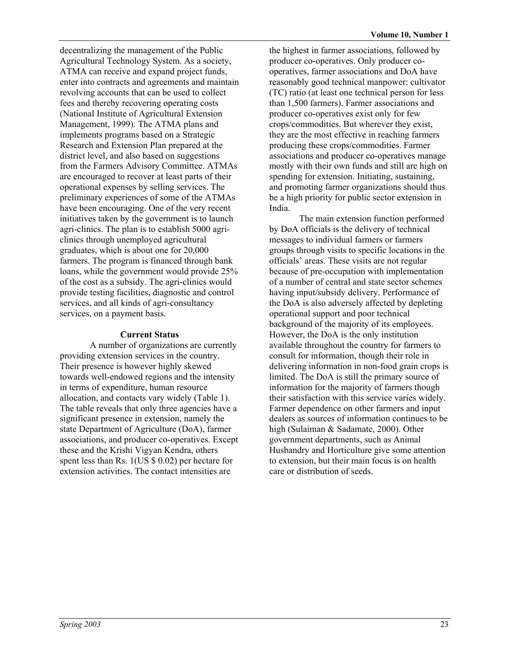decentralizing the management of the Public Agricultural Technology System. As a society, ATMA can receive and expand project funds, enter into contracts and agreements and maintain revolving accounts that can be used to collect fees and thereby recovering operating costs (National Institute of Agricultural Extension Management, 1999). The ATMA plans and implements programs based on a Strategic Research and Extension Plan prepared at the district level, and also based on suggestions from the Farmers Advisory Committee. ATMAs are encouraged to recover at least parts of their operational expenses by selling services. The preliminary experiences of some of the ATMAs have been encouraging. One of the very recent initiatives taken by the government is to launch agri-clinics. The plan is to establish 5000 agriclinics through unemployed agricultural graduates, which is about one for 20,000 farmers. The program is financed through bank loans, while the government would provide 25% of the cost as a subsidy. The agri-clinics would provide testing facilities, diagnostic and control services, and all kinds of agri-consultancy services, on a payment basis.

# **Current Status**

A number of organizations are currently providing extension services in the country. Their presence is however highly skewed towards well-endowed regions and the intensity in terms of expenditure, human resource allocation, and contacts vary widely (Table 1). The table reveals that only three agencies have a significant presence in extension, namely the state Department of Agriculture (DoA), farmer associations, and producer co-operatives. Except these and the Krishi Vigyan Kendra, others spent less than Rs. 1(US \$ 0.02) per hectare for extension activities. The contact intensities are

the highest in farmer associations, followed by producer co-operatives. Only producer cooperatives, farmer associations and DoA have reasonably good technical manpower: cultivator (TC) ratio (at least one technical person for less than 1,500 farmers). Farmer associations and producer co-operatives exist only for few crops/commodities. But wherever they exist, they are the most effective in reaching farmers producing these crops/commodities. Farmer associations and producer co-operatives manage mostly with their own funds and still are high on spending for extension. Initiating, sustaining, and promoting farmer organizations should thus be a high priority for public sector extension in India.

The main extension function performed by DoA officials is the delivery of technical messages to individual farmers or farmers groups through visits to specific locations in the officials' areas. These visits are not regular because of pre-occupation with implementation of a number of central and state sector schemes having input/subsidy delivery. Performance of the DoA is also adversely affected by depleting operational support and poor technical background of the majority of its employees. However, the DoA is the only institution available throughout the country for farmers to consult for information, though their role in delivering information in non-food grain crops is limited. The DoA is still the primary source of information for the majority of farmers though their satisfaction with this service varies widely. Farmer dependence on other farmers and input dealers as sources of information continues to be high (Sulaiman & Sadamate, 2000). Other government departments, such as Animal Husbandry and Horticulture give some attention to extension, but their main focus is on health care or distribution of seeds.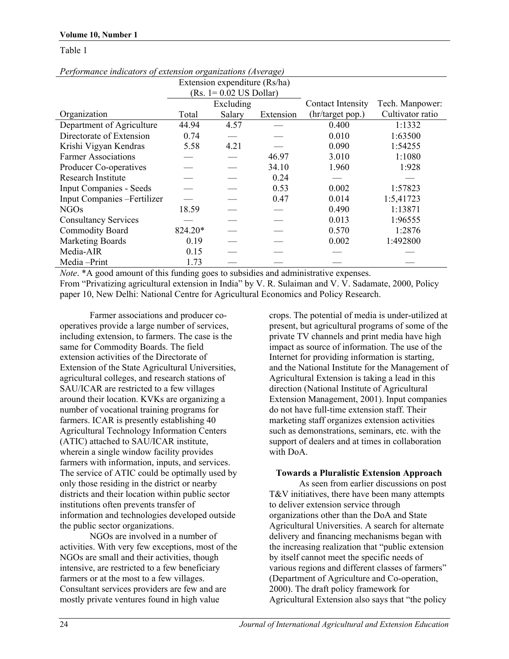#### **Volume 10, Number 1**

#### Table 1

| Terjormance marcators of extension organizations (Average) |                          |                               |           |                          |                  |
|------------------------------------------------------------|--------------------------|-------------------------------|-----------|--------------------------|------------------|
|                                                            |                          | Extension expenditure (Rs/ha) |           |                          |                  |
|                                                            | $(Rs. 1=0.02$ US Dollar) |                               |           |                          |                  |
|                                                            | Excluding                |                               |           | <b>Contact Intensity</b> | Tech. Manpower:  |
| Organization                                               | Total                    | Salary                        | Extension | (hr/target pop.)         | Cultivator ratio |
| Department of Agriculture                                  | 44.94                    | 4.57                          |           | 0.400                    | 1:1332           |
| Directorate of Extension                                   | 0.74                     |                               |           | 0.010                    | 1:63500          |
| Krishi Vigyan Kendras                                      | 5.58                     | 4.21                          |           | 0.090                    | 1:54255          |
| <b>Farmer Associations</b>                                 |                          |                               | 46.97     | 3.010                    | 1:1080           |
| Producer Co-operatives                                     |                          |                               | 34.10     | 1.960                    | 1:928            |
| Research Institute                                         |                          |                               | 0.24      |                          |                  |
| <b>Input Companies - Seeds</b>                             |                          |                               | 0.53      | 0.002                    | 1:57823          |
| Input Companies - Fertilizer                               |                          |                               | 0.47      | 0.014                    | 1:5,41723        |
| <b>NGOs</b>                                                | 18.59                    |                               |           | 0.490                    | 1:13871          |
| <b>Consultancy Services</b>                                |                          |                               |           | 0.013                    | 1:96555          |
| Commodity Board                                            | 824.20*                  |                               |           | 0.570                    | 1:2876           |
| <b>Marketing Boards</b>                                    | 0.19                     |                               |           | 0.002                    | 1:492800         |
| Media-AIR                                                  | 0.15                     |                               |           |                          |                  |
| Media-Print                                                | 1.73                     |                               |           |                          |                  |

*Performance indicators of extension organizations (Average)* 

*Note*. \*A good amount of this funding goes to subsidies and administrative expenses.

From "Privatizing agricultural extension in India" by V. R. Sulaiman and V. V. Sadamate, 2000, Policy paper 10, New Delhi: National Centre for Agricultural Economics and Policy Research.

Farmer associations and producer cooperatives provide a large number of services, including extension, to farmers. The case is the same for Commodity Boards. The field extension activities of the Directorate of Extension of the State Agricultural Universities, agricultural colleges, and research stations of SAU/ICAR are restricted to a few villages around their location. KVKs are organizing a number of vocational training programs for farmers. ICAR is presently establishing 40 Agricultural Technology Information Centers (ATIC) attached to SAU/ICAR institute, wherein a single window facility provides farmers with information, inputs, and services. The service of ATIC could be optimally used by only those residing in the district or nearby districts and their location within public sector institutions often prevents transfer of information and technologies developed outside the public sector organizations.

NGOs are involved in a number of activities. With very few exceptions, most of the NGOs are small and their activities, though intensive, are restricted to a few beneficiary farmers or at the most to a few villages. Consultant services providers are few and are mostly private ventures found in high value

crops. The potential of media is under-utilized at present, but agricultural programs of some of the private TV channels and print media have high impact as source of information. The use of the Internet for providing information is starting, and the National Institute for the Management of Agricultural Extension is taking a lead in this direction (National Institute of Agricultural Extension Management, 2001). Input companies do not have full-time extension staff. Their marketing staff organizes extension activities such as demonstrations, seminars, etc. with the support of dealers and at times in collaboration with DoA.

#### **Towards a Pluralistic Extension Approach**

As seen from earlier discussions on post T&V initiatives, there have been many attempts to deliver extension service through organizations other than the DoA and State Agricultural Universities. A search for alternate delivery and financing mechanisms began with the increasing realization that "public extension by itself cannot meet the specific needs of various regions and different classes of farmers" (Department of Agriculture and Co-operation, 2000). The draft policy framework for Agricultural Extension also says that "the policy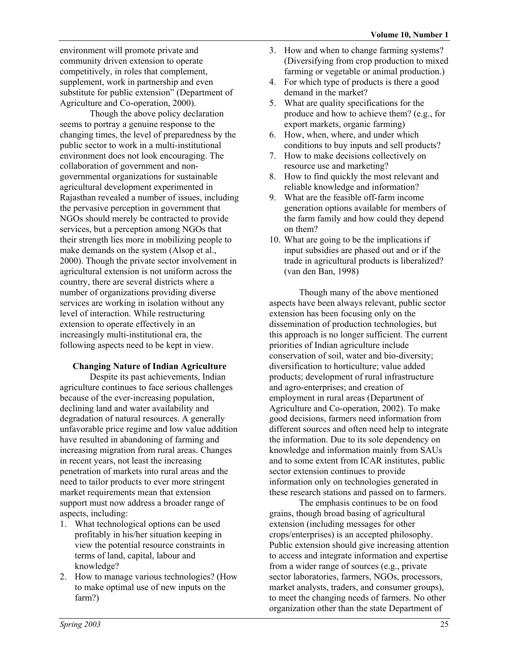environment will promote private and community driven extension to operate competitively, in roles that complement, supplement, work in partnership and even substitute for public extension" (Department of Agriculture and Co-operation, 2000).

Though the above policy declaration seems to portray a genuine response to the changing times, the level of preparedness by the public sector to work in a multi-institutional environment does not look encouraging. The collaboration of government and nongovernmental organizations for sustainable agricultural development experimented in Rajasthan revealed a number of issues, including the pervasive perception in government that NGOs should merely be contracted to provide services, but a perception among NGOs that their strength lies more in mobilizing people to make demands on the system (Alsop et al., 2000). Though the private sector involvement in agricultural extension is not uniform across the country, there are several districts where a number of organizations providing diverse services are working in isolation without any level of interaction. While restructuring extension to operate effectively in an increasingly multi-institutional era, the following aspects need to be kept in view.

## **Changing Nature of Indian Agriculture**

Despite its past achievements, Indian agriculture continues to face serious challenges because of the ever-increasing population, declining land and water availability and degradation of natural resources. A generally unfavorable price regime and low value addition have resulted in abandoning of farming and increasing migration from rural areas. Changes in recent years, not least the increasing penetration of markets into rural areas and the need to tailor products to ever more stringent market requirements mean that extension support must now address a broader range of aspects, including:

- 1. What technological options can be used profitably in his/her situation keeping in view the potential resource constraints in terms of land, capital, labour and knowledge?
- 2. How to manage various technologies? (How to make optimal use of new inputs on the farm?)
- 3. How and when to change farming systems? (Diversifying from crop production to mixed farming or vegetable or animal production.)
- 4. For which type of products is there a good demand in the market?
- 5. What are quality specifications for the produce and how to achieve them? (e.g., for export markets, organic farming)
- 6. How, when, where, and under which conditions to buy inputs and sell products?
- 7. How to make decisions collectively on resource use and marketing?
- 8. How to find quickly the most relevant and reliable knowledge and information?
- 9. What are the feasible off-farm income generation options available for members of the farm family and how could they depend on them?
- 10. What are going to be the implications if input subsidies are phased out and or if the trade in agricultural products is liberalized? (van den Ban, 1998)

Though many of the above mentioned aspects have been always relevant, public sector extension has been focusing only on the dissemination of production technologies, but this approach is no longer sufficient. The current priorities of Indian agriculture include conservation of soil, water and bio-diversity; diversification to horticulture; value added products; development of rural infrastructure and agro-enterprises; and creation of employment in rural areas (Department of Agriculture and Co-operation, 2002). To make good decisions, farmers need information from different sources and often need help to integrate the information. Due to its sole dependency on knowledge and information mainly from SAUs and to some extent from ICAR institutes, public sector extension continues to provide information only on technologies generated in these research stations and passed on to farmers.

The emphasis continues to be on food grains, though broad basing of agricultural extension (including messages for other crops/enterprises) is an accepted philosophy. Public extension should give increasing attention to access and integrate information and expertise from a wider range of sources (e.g., private sector laboratories, farmers, NGOs, processors, market analysts, traders, and consumer groups), to meet the changing needs of farmers. No other organization other than the state Department of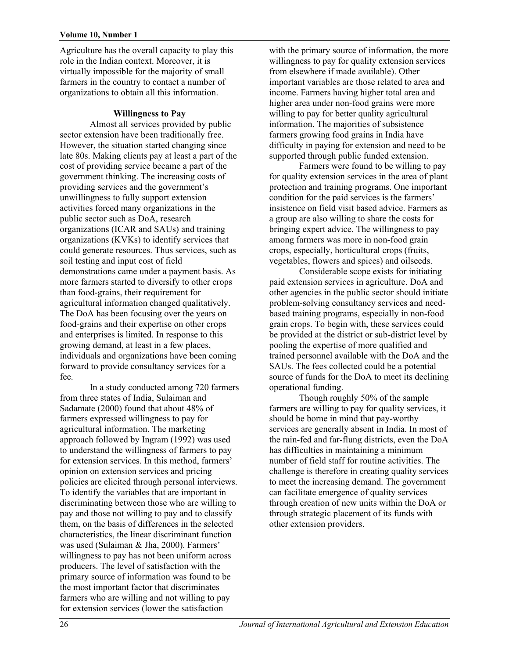#### **Volume 10, Number 1**

Agriculture has the overall capacity to play this role in the Indian context. Moreover, it is virtually impossible for the majority of small farmers in the country to contact a number of organizations to obtain all this information.

## **Willingness to Pay**

Almost all services provided by public sector extension have been traditionally free. However, the situation started changing since late 80s. Making clients pay at least a part of the cost of providing service became a part of the government thinking. The increasing costs of providing services and the government's unwillingness to fully support extension activities forced many organizations in the public sector such as DoA, research organizations (ICAR and SAUs) and training organizations (KVKs) to identify services that could generate resources. Thus services, such as soil testing and input cost of field demonstrations came under a payment basis. As more farmers started to diversify to other crops than food-grains, their requirement for agricultural information changed qualitatively. The DoA has been focusing over the years on food-grains and their expertise on other crops and enterprises is limited. In response to this growing demand, at least in a few places, individuals and organizations have been coming forward to provide consultancy services for a fee.

In a study conducted among 720 farmers from three states of India, Sulaiman and Sadamate (2000) found that about 48% of farmers expressed willingness to pay for agricultural information. The marketing approach followed by Ingram (1992) was used to understand the willingness of farmers to pay for extension services. In this method, farmers' opinion on extension services and pricing policies are elicited through personal interviews. To identify the variables that are important in discriminating between those who are willing to pay and those not willing to pay and to classify them, on the basis of differences in the selected characteristics, the linear discriminant function was used (Sulaiman & Jha, 2000). Farmers' willingness to pay has not been uniform across producers. The level of satisfaction with the primary source of information was found to be the most important factor that discriminates farmers who are willing and not willing to pay for extension services (lower the satisfaction

with the primary source of information, the more willingness to pay for quality extension services from elsewhere if made available). Other important variables are those related to area and income. Farmers having higher total area and higher area under non-food grains were more willing to pay for better quality agricultural information. The majorities of subsistence farmers growing food grains in India have difficulty in paying for extension and need to be supported through public funded extension.

Farmers were found to be willing to pay for quality extension services in the area of plant protection and training programs. One important condition for the paid services is the farmers' insistence on field visit based advice. Farmers as a group are also willing to share the costs for bringing expert advice. The willingness to pay among farmers was more in non-food grain crops, especially, horticultural crops (fruits, vegetables, flowers and spices) and oilseeds.

Considerable scope exists for initiating paid extension services in agriculture. DoA and other agencies in the public sector should initiate problem-solving consultancy services and needbased training programs, especially in non-food grain crops. To begin with, these services could be provided at the district or sub-district level by pooling the expertise of more qualified and trained personnel available with the DoA and the SAUs. The fees collected could be a potential source of funds for the DoA to meet its declining operational funding.

Though roughly 50% of the sample farmers are willing to pay for quality services, it should be borne in mind that pay-worthy services are generally absent in India. In most of the rain-fed and far-flung districts, even the DoA has difficulties in maintaining a minimum number of field staff for routine activities. The challenge is therefore in creating quality services to meet the increasing demand. The government can facilitate emergence of quality services through creation of new units within the DoA or through strategic placement of its funds with other extension providers.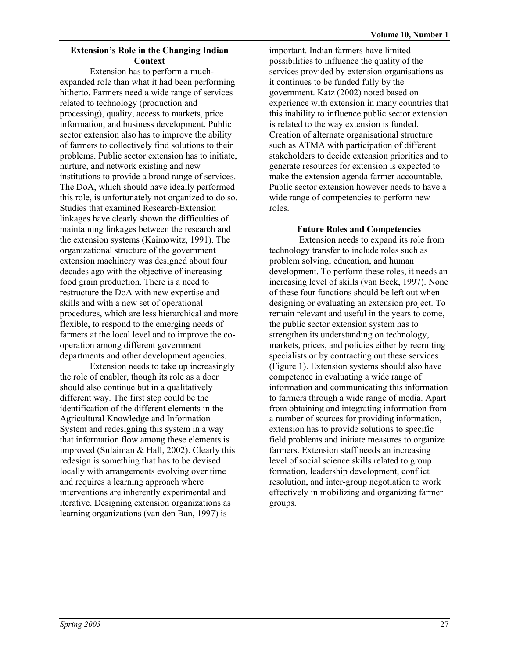## **Extension's Role in the Changing Indian Context**

Extension has to perform a muchexpanded role than what it had been performing hitherto. Farmers need a wide range of services related to technology (production and processing), quality, access to markets, price information, and business development. Public sector extension also has to improve the ability of farmers to collectively find solutions to their problems. Public sector extension has to initiate, nurture, and network existing and new institutions to provide a broad range of services. The DoA, which should have ideally performed this role, is unfortunately not organized to do so. Studies that examined Research-Extension linkages have clearly shown the difficulties of maintaining linkages between the research and the extension systems (Kaimowitz, 1991). The organizational structure of the government extension machinery was designed about four decades ago with the objective of increasing food grain production. There is a need to restructure the DoA with new expertise and skills and with a new set of operational procedures, which are less hierarchical and more flexible, to respond to the emerging needs of farmers at the local level and to improve the cooperation among different government departments and other development agencies.

Extension needs to take up increasingly the role of enabler, though its role as a doer should also continue but in a qualitatively different way. The first step could be the identification of the different elements in the Agricultural Knowledge and Information System and redesigning this system in a way that information flow among these elements is improved (Sulaiman & Hall, 2002). Clearly this redesign is something that has to be devised locally with arrangements evolving over time and requires a learning approach where interventions are inherently experimental and iterative. Designing extension organizations as learning organizations (van den Ban, 1997) is

important. Indian farmers have limited possibilities to influence the quality of the services provided by extension organisations as it continues to be funded fully by the government. Katz (2002) noted based on experience with extension in many countries that this inability to influence public sector extension is related to the way extension is funded. Creation of alternate organisational structure such as ATMA with participation of different stakeholders to decide extension priorities and to generate resources for extension is expected to make the extension agenda farmer accountable. Public sector extension however needs to have a wide range of competencies to perform new roles.

## **Future Roles and Competencies**

Extension needs to expand its role from technology transfer to include roles such as problem solving, education, and human development. To perform these roles, it needs an increasing level of skills (van Beek, 1997). None of these four functions should be left out when designing or evaluating an extension project. To remain relevant and useful in the years to come, the public sector extension system has to strengthen its understanding on technology, markets, prices, and policies either by recruiting specialists or by contracting out these services (Figure 1). Extension systems should also have competence in evaluating a wide range of information and communicating this information to farmers through a wide range of media. Apart from obtaining and integrating information from a number of sources for providing information, extension has to provide solutions to specific field problems and initiate measures to organize farmers. Extension staff needs an increasing level of social science skills related to group formation, leadership development, conflict resolution, and inter-group negotiation to work effectively in mobilizing and organizing farmer groups.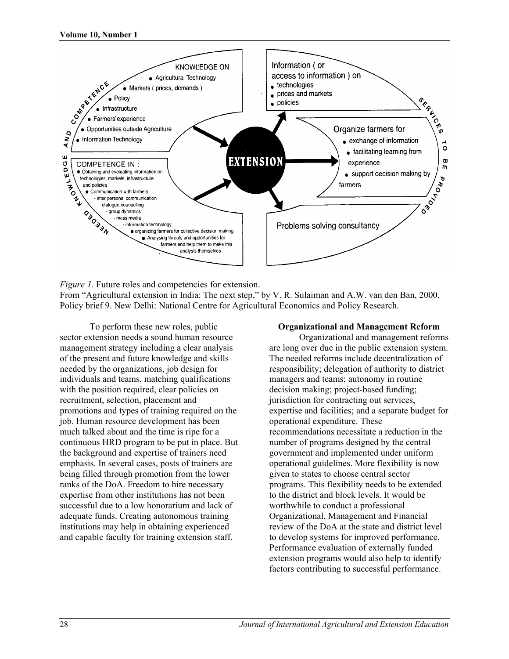

*Figure 1*. Future roles and competencies for extension.

From "Agricultural extension in India: The next step," by V. R. Sulaiman and A.W. van den Ban, 2000, Policy brief 9. New Delhi: National Centre for Agricultural Economics and Policy Research.

To perform these new roles, public sector extension needs a sound human resource management strategy including a clear analysis of the present and future knowledge and skills needed by the organizations, job design for individuals and teams, matching qualifications with the position required, clear policies on recruitment, selection, placement and promotions and types of training required on the job. Human resource development has been much talked about and the time is ripe for a continuous HRD program to be put in place. But the background and expertise of trainers need emphasis. In several cases, posts of trainers are being filled through promotion from the lower ranks of the DoA. Freedom to hire necessary expertise from other institutions has not been successful due to a low honorarium and lack of adequate funds. Creating autonomous training institutions may help in obtaining experienced and capable faculty for training extension staff.

### **Organizational and Management Reform**

Organizational and management reforms are long over due in the public extension system. The needed reforms include decentralization of responsibility; delegation of authority to district managers and teams; autonomy in routine decision making; project-based funding; jurisdiction for contracting out services, expertise and facilities; and a separate budget for operational expenditure. These recommendations necessitate a reduction in the number of programs designed by the central government and implemented under uniform operational guidelines. More flexibility is now given to states to choose central sector programs. This flexibility needs to be extended to the district and block levels. It would be worthwhile to conduct a professional Organizational, Management and Financial review of the DoA at the state and district level to develop systems for improved performance. Performance evaluation of externally funded extension programs would also help to identify factors contributing to successful performance.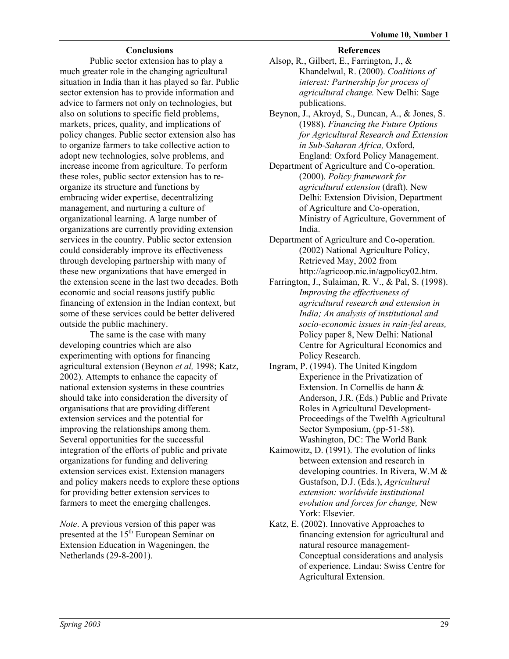## **Conclusions**

Public sector extension has to play a much greater role in the changing agricultural situation in India than it has played so far. Public sector extension has to provide information and advice to farmers not only on technologies, but also on solutions to specific field problems, markets, prices, quality, and implications of policy changes. Public sector extension also has to organize farmers to take collective action to adopt new technologies, solve problems, and increase income from agriculture. To perform these roles, public sector extension has to reorganize its structure and functions by embracing wider expertise, decentralizing management, and nurturing a culture of organizational learning. A large number of organizations are currently providing extension services in the country. Public sector extension could considerably improve its effectiveness through developing partnership with many of these new organizations that have emerged in the extension scene in the last two decades. Both economic and social reasons justify public financing of extension in the Indian context, but some of these services could be better delivered outside the public machinery.

The same is the case with many developing countries which are also experimenting with options for financing agricultural extension (Beynon *et al,* 1998; Katz, 2002). Attempts to enhance the capacity of national extension systems in these countries should take into consideration the diversity of organisations that are providing different extension services and the potential for improving the relationships among them. Several opportunities for the successful integration of the efforts of public and private organizations for funding and delivering extension services exist. Extension managers and policy makers needs to explore these options for providing better extension services to farmers to meet the emerging challenges.

*Note*. A previous version of this paper was presented at the 15<sup>th</sup> European Seminar on Extension Education in Wageningen, the Netherlands (29-8-2001).

#### **References**

- Alsop, R., Gilbert, E., Farrington, J., & Khandelwal, R. (2000). *Coalitions of interest: Partnership for process of agricultural change.* New Delhi: Sage publications.
- Beynon, J., Akroyd, S., Duncan, A., & Jones, S. (1988). *Financing the Future Options for Agricultural Research and Extension in Sub-Saharan Africa,* Oxford, England: Oxford Policy Management.
- Department of Agriculture and Co-operation. (2000). *Policy framework for agricultural extension* (draft). New Delhi: Extension Division, Department of Agriculture and Co-operation, Ministry of Agriculture, Government of India.
- Department of Agriculture and Co-operation. (2002) National Agriculture Policy, Retrieved May, 2002 from http://agricoop.nic.in/agpolicy02.htm.
- Farrington, J., Sulaiman, R. V., & Pal, S. (1998). *Improving the effectiveness of agricultural research and extension in India; An analysis of institutional and socio-economic issues in rain-fed areas,*  Policy paper 8, New Delhi: National Centre for Agricultural Economics and Policy Research.
- Ingram, P. (1994). The United Kingdom Experience in the Privatization of Extension. In Cornellis de hann & Anderson, J.R. (Eds.) Public and Private Roles in Agricultural Development-Proceedings of the Twelfth Agricultural Sector Symposium, (pp-51-58). Washington, DC: The World Bank
- Kaimowitz, D. (1991). The evolution of links between extension and research in developing countries. In Rivera, W.M & Gustafson, D.J. (Eds.), *Agricultural extension: worldwide institutional evolution and forces for change,* New York: Elsevier.
- Katz, E. (2002). Innovative Approaches to financing extension for agricultural and natural resource management-Conceptual considerations and analysis of experience. Lindau: Swiss Centre for Agricultural Extension.